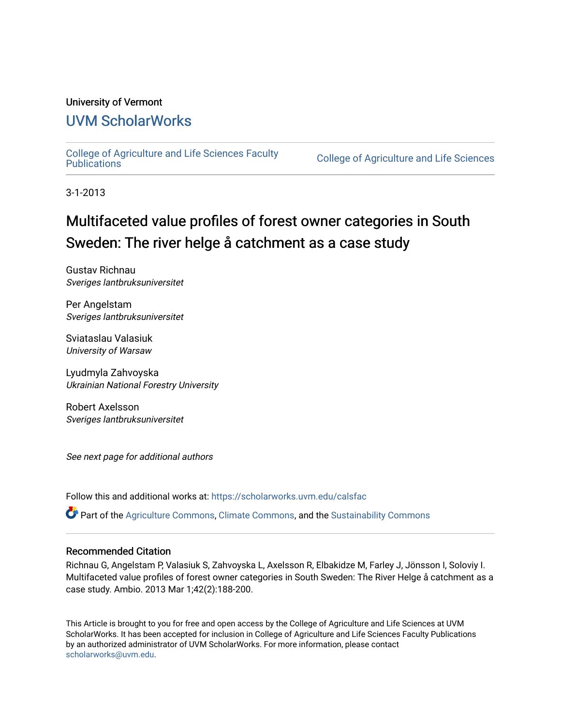# University of Vermont

# [UVM ScholarWorks](https://scholarworks.uvm.edu/)

[College of Agriculture and Life Sciences Faculty](https://scholarworks.uvm.edu/calsfac) 

**College of Agriculture and Life Sciences** 

3-1-2013

# Multifaceted value profiles of forest owner categories in South Sweden: The river helge å catchment as a case study

Gustav Richnau Sveriges lantbruksuniversitet

Per Angelstam Sveriges lantbruksuniversitet

Sviataslau Valasiuk University of Warsaw

Lyudmyla Zahvoyska Ukrainian National Forestry University

Robert Axelsson Sveriges lantbruksuniversitet

See next page for additional authors

Follow this and additional works at: [https://scholarworks.uvm.edu/calsfac](https://scholarworks.uvm.edu/calsfac?utm_source=scholarworks.uvm.edu%2Fcalsfac%2F61&utm_medium=PDF&utm_campaign=PDFCoverPages)

Part of the [Agriculture Commons](http://network.bepress.com/hgg/discipline/1076?utm_source=scholarworks.uvm.edu%2Fcalsfac%2F61&utm_medium=PDF&utm_campaign=PDFCoverPages), [Climate Commons](http://network.bepress.com/hgg/discipline/188?utm_source=scholarworks.uvm.edu%2Fcalsfac%2F61&utm_medium=PDF&utm_campaign=PDFCoverPages), and the [Sustainability Commons](http://network.bepress.com/hgg/discipline/1031?utm_source=scholarworks.uvm.edu%2Fcalsfac%2F61&utm_medium=PDF&utm_campaign=PDFCoverPages) 

# Recommended Citation

Richnau G, Angelstam P, Valasiuk S, Zahvoyska L, Axelsson R, Elbakidze M, Farley J, Jönsson I, Soloviy I. Multifaceted value profiles of forest owner categories in South Sweden: The River Helge å catchment as a case study. Ambio. 2013 Mar 1;42(2):188-200.

This Article is brought to you for free and open access by the College of Agriculture and Life Sciences at UVM ScholarWorks. It has been accepted for inclusion in College of Agriculture and Life Sciences Faculty Publications by an authorized administrator of UVM ScholarWorks. For more information, please contact [scholarworks@uvm.edu](mailto:scholarworks@uvm.edu).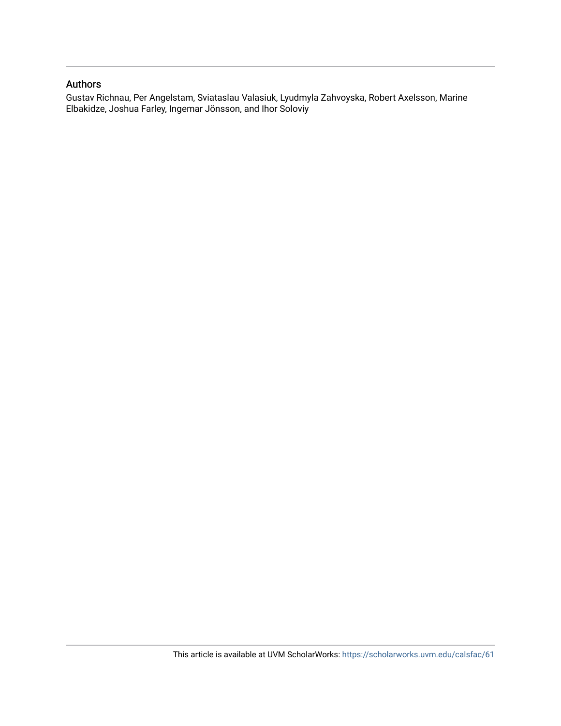# Authors

Gustav Richnau, Per Angelstam, Sviataslau Valasiuk, Lyudmyla Zahvoyska, Robert Axelsson, Marine Elbakidze, Joshua Farley, Ingemar Jönsson, and Ihor Soloviy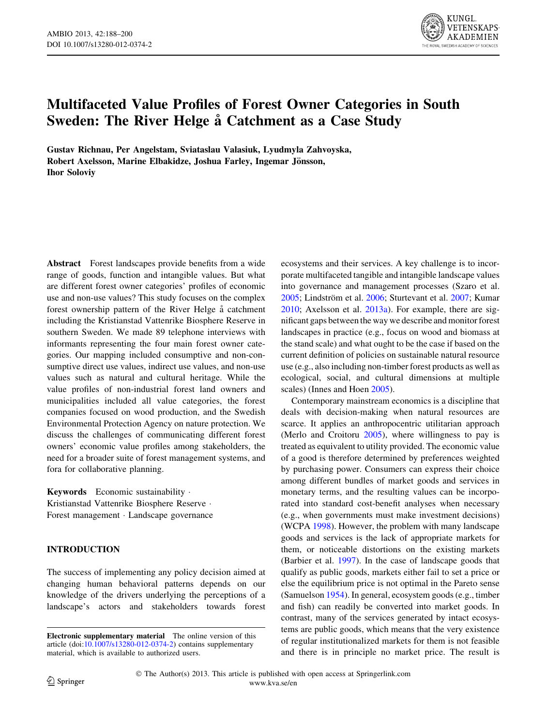

# Multifaceted Value Profiles of Forest Owner Categories in South Sweden: The River Helge a<sup> $\hat{a}$ </sup> Catchment as a Case Study

Gustav Richnau, Per Angelstam, Sviataslau Valasiuk, Lyudmyla Zahvoyska, Robert Axelsson, Marine Elbakidze, Joshua Farley, Ingemar Jönsson, Ihor Soloviy

Abstract Forest landscapes provide benefits from a wide range of goods, function and intangible values. But what are different forest owner categories' profiles of economic use and non-use values? This study focuses on the complex forest ownership pattern of the River Helge å catchment including the Kristianstad Vattenrike Biosphere Reserve in southern Sweden. We made 89 telephone interviews with informants representing the four main forest owner categories. Our mapping included consumptive and non-consumptive direct use values, indirect use values, and non-use values such as natural and cultural heritage. While the value profiles of non-industrial forest land owners and municipalities included all value categories, the forest companies focused on wood production, and the Swedish Environmental Protection Agency on nature protection. We discuss the challenges of communicating different forest owners' economic value profiles among stakeholders, the need for a broader suite of forest management systems, and fora for collaborative planning.

Keywords Economic sustainability . Kristianstad Vattenrike Biosphere Reserve - Forest management - Landscape governance

## INTRODUCTION

The success of implementing any policy decision aimed at changing human behavioral patterns depends on our knowledge of the drivers underlying the perceptions of a landscape's actors and stakeholders towards forest ecosystems and their services. A key challenge is to incorporate multifaceted tangible and intangible landscape values into governance and management processes (Szaro et al. [2005](#page-13-0); Lindström et al. [2006;](#page-13-0) Sturtevant et al. [2007;](#page-13-0) Kumar [2010](#page-12-0); Axelsson et al. [2013a](#page-12-0)). For example, there are significant gaps between the way we describe and monitor forest landscapes in practice (e.g., focus on wood and biomass at the stand scale) and what ought to be the case if based on the current definition of policies on sustainable natural resource use (e.g., also including non-timber forest products as well as ecological, social, and cultural dimensions at multiple scales) (Innes and Hoen [2005](#page-12-0)).

Contemporary mainstream economics is a discipline that deals with decision-making when natural resources are scarce. It applies an anthropocentric utilitarian approach (Merlo and Croitoru [2005](#page-13-0)), where willingness to pay is treated as equivalent to utility provided. The economic value of a good is therefore determined by preferences weighted by purchasing power. Consumers can express their choice among different bundles of market goods and services in monetary terms, and the resulting values can be incorporated into standard cost-benefit analyses when necessary (e.g., when governments must make investment decisions) (WCPA [1998\)](#page-13-0). However, the problem with many landscape goods and services is the lack of appropriate markets for them, or noticeable distortions on the existing markets (Barbier et al. [1997\)](#page-12-0). In the case of landscape goods that qualify as public goods, markets either fail to set a price or else the equilibrium price is not optimal in the Pareto sense (Samuelson [1954](#page-13-0)). In general, ecosystem goods (e.g., timber and fish) can readily be converted into market goods. In contrast, many of the services generated by intact ecosystems are public goods, which means that the very existence of regular institutionalized markets for them is not feasible and there is in principle no market price. The result is

Electronic supplementary material The online version of this article (doi:[10.1007/s13280-012-0374-2\)](http://dx.doi.org/10.1007/s13280-012-0374-2) contains supplementary material, which is available to authorized users.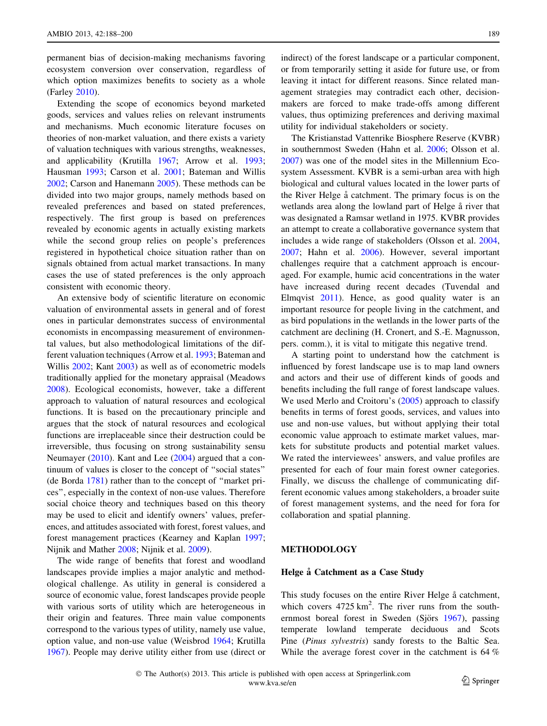permanent bias of decision-making mechanisms favoring ecosystem conversion over conservation, regardless of which option maximizes benefits to society as a whole (Farley [2010\)](#page-12-0).

Extending the scope of economics beyond marketed goods, services and values relies on relevant instruments and mechanisms. Much economic literature focuses on theories of non-market valuation, and there exists a variety of valuation techniques with various strengths, weaknesses, and applicability (Krutilla [1967;](#page-12-0) Arrow et al. [1993](#page-12-0); Hausman [1993](#page-12-0); Carson et al. [2001;](#page-12-0) Bateman and Willis [2002;](#page-12-0) Carson and Hanemann [2005](#page-12-0)). These methods can be divided into two major groups, namely methods based on revealed preferences and based on stated preferences, respectively. The first group is based on preferences revealed by economic agents in actually existing markets while the second group relies on people's preferences registered in hypothetical choice situation rather than on signals obtained from actual market transactions. In many cases the use of stated preferences is the only approach consistent with economic theory.

An extensive body of scientific literature on economic valuation of environmental assets in general and of forest ones in particular demonstrates success of environmental economists in encompassing measurement of environmental values, but also methodological limitations of the different valuation techniques (Arrow et al. [1993](#page-12-0); Bateman and Willis [2002;](#page-12-0) Kant [2003\)](#page-12-0) as well as of econometric models traditionally applied for the monetary appraisal (Meadows [2008\)](#page-13-0). Ecological economists, however, take a different approach to valuation of natural resources and ecological functions. It is based on the precautionary principle and argues that the stock of natural resources and ecological functions are irreplaceable since their destruction could be irreversible, thus focusing on strong sustainability sensu Neumayer [\(2010](#page-13-0)). Kant and Lee [\(2004](#page-12-0)) argued that a continuum of values is closer to the concept of ''social states'' (de Borda [1781](#page-12-0)) rather than to the concept of ''market prices'', especially in the context of non-use values. Therefore social choice theory and techniques based on this theory may be used to elicit and identify owners' values, preferences, and attitudes associated with forest, forest values, and forest management practices (Kearney and Kaplan [1997](#page-12-0); Nijnik and Mather [2008](#page-13-0); Nijnik et al. [2009\)](#page-13-0).

The wide range of benefits that forest and woodland landscapes provide implies a major analytic and methodological challenge. As utility in general is considered a source of economic value, forest landscapes provide people with various sorts of utility which are heterogeneous in their origin and features. Three main value components correspond to the various types of utility, namely use value, option value, and non-use value (Weisbrod [1964;](#page-13-0) Krutilla [1967\)](#page-12-0). People may derive utility either from use (direct or indirect) of the forest landscape or a particular component, or from temporarily setting it aside for future use, or from leaving it intact for different reasons. Since related management strategies may contradict each other, decisionmakers are forced to make trade-offs among different values, thus optimizing preferences and deriving maximal utility for individual stakeholders or society.

The Kristianstad Vattenrike Biosphere Reserve (KVBR) in southernmost Sweden (Hahn et al. [2006;](#page-12-0) Olsson et al. [2007](#page-13-0)) was one of the model sites in the Millennium Ecosystem Assessment. KVBR is a semi-urban area with high biological and cultural values located in the lower parts of the River Helge å catchment. The primary focus is on the wetlands area along the lowland part of Helge å river that was designated a Ramsar wetland in 1975. KVBR provides an attempt to create a collaborative governance system that includes a wide range of stakeholders (Olsson et al. [2004,](#page-13-0) [2007](#page-13-0); Hahn et al. [2006\)](#page-12-0). However, several important challenges require that a catchment approach is encouraged. For example, humic acid concentrations in the water have increased during recent decades (Tuvendal and Elmqvist [2011\)](#page-13-0). Hence, as good quality water is an important resource for people living in the catchment, and as bird populations in the wetlands in the lower parts of the catchment are declining (H. Cronert, and S.-E. Magnusson, pers. comm.), it is vital to mitigate this negative trend.

A starting point to understand how the catchment is influenced by forest landscape use is to map land owners and actors and their use of different kinds of goods and benefits including the full range of forest landscape values. We used Merlo and Croitoru's ([2005\)](#page-13-0) approach to classify benefits in terms of forest goods, services, and values into use and non-use values, but without applying their total economic value approach to estimate market values, markets for substitute products and potential market values. We rated the interviewees' answers, and value profiles are presented for each of four main forest owner categories. Finally, we discuss the challenge of communicating different economic values among stakeholders, a broader suite of forest management systems, and the need for fora for collaboration and spatial planning.

#### METHODOLOGY

#### Helge å Catchment as a Case Study

This study focuses on the entire River Helge  $\aa$  catchment, which covers  $4725 \text{ km}^2$ . The river runs from the south-ernmost boreal forest in Sweden (Sjörs [1967\)](#page-13-0), passing temperate lowland temperate deciduous and Scots Pine (Pinus sylvestris) sandy forests to the Baltic Sea. While the average forest cover in the catchment is 64 %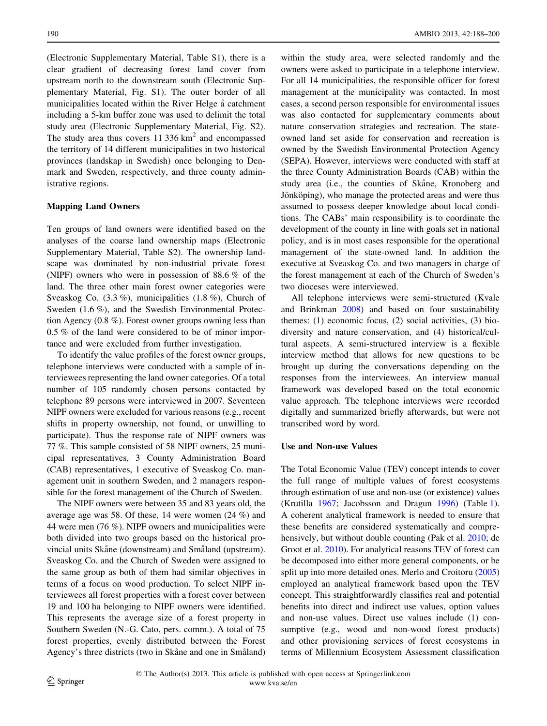(Electronic Supplementary Material, Table S1), there is a clear gradient of decreasing forest land cover from upstream north to the downstream south (Electronic Supplementary Material, Fig. S1). The outer border of all municipalities located within the River Helge  $\aa$  catchment including a 5-km buffer zone was used to delimit the total study area (Electronic Supplementary Material, Fig. S2). The study area thus covers  $11\,336\,\mathrm{km}^2$  and encompassed the territory of 14 different municipalities in two historical provinces (landskap in Swedish) once belonging to Denmark and Sweden, respectively, and three county administrative regions.

#### Mapping Land Owners

Ten groups of land owners were identified based on the analyses of the coarse land ownership maps (Electronic Supplementary Material, Table S2). The ownership landscape was dominated by non-industrial private forest (NIPF) owners who were in possession of 88.6 % of the land. The three other main forest owner categories were Sveaskog Co. (3.3 %), municipalities (1.8 %), Church of Sweden (1.6 %), and the Swedish Environmental Protection Agency (0.8 %). Forest owner groups owning less than 0.5 % of the land were considered to be of minor importance and were excluded from further investigation.

To identify the value profiles of the forest owner groups, telephone interviews were conducted with a sample of interviewees representing the land owner categories. Of a total number of 105 randomly chosen persons contacted by telephone 89 persons were interviewed in 2007. Seventeen NIPF owners were excluded for various reasons (e.g., recent shifts in property ownership, not found, or unwilling to participate). Thus the response rate of NIPF owners was 77 %. This sample consisted of 58 NIPF owners, 25 municipal representatives, 3 County Administration Board (CAB) representatives, 1 executive of Sveaskog Co. management unit in southern Sweden, and 2 managers responsible for the forest management of the Church of Sweden.

The NIPF owners were between 35 and 83 years old, the average age was 58. Of these, 14 were women (24 %) and 44 were men (76 %). NIPF owners and municipalities were both divided into two groups based on the historical provincial units Skåne (downstream) and Småland (upstream). Sveaskog Co. and the Church of Sweden were assigned to the same group as both of them had similar objectives in terms of a focus on wood production. To select NIPF interviewees all forest properties with a forest cover between 19 and 100 ha belonging to NIPF owners were identified. This represents the average size of a forest property in Southern Sweden (N.-G. Cato, pers. comm.). A total of 75 forest properties, evenly distributed between the Forest Agency's three districts (two in Skåne and one in Småland)

within the study area, were selected randomly and the owners were asked to participate in a telephone interview. For all 14 municipalities, the responsible officer for forest management at the municipality was contacted. In most cases, a second person responsible for environmental issues was also contacted for supplementary comments about nature conservation strategies and recreation. The stateowned land set aside for conservation and recreation is owned by the Swedish Environmental Protection Agency (SEPA). However, interviews were conducted with staff at the three County Administration Boards (CAB) within the study area (i.e., the counties of Skåne, Kronoberg and Jönköping), who manage the protected areas and were thus assumed to possess deeper knowledge about local conditions. The CABs' main responsibility is to coordinate the development of the county in line with goals set in national policy, and is in most cases responsible for the operational management of the state-owned land. In addition the executive at Sveaskog Co. and two managers in charge of the forest management at each of the Church of Sweden's two dioceses were interviewed.

All telephone interviews were semi-structured (Kvale and Brinkman [2008\)](#page-12-0) and based on four sustainability themes: (1) economic focus, (2) social activities, (3) biodiversity and nature conservation, and (4) historical/cultural aspects. A semi-structured interview is a flexible interview method that allows for new questions to be brought up during the conversations depending on the responses from the interviewees. An interview manual framework was developed based on the total economic value approach. The telephone interviews were recorded digitally and summarized briefly afterwards, but were not transcribed word by word.

#### Use and Non-use Values

The Total Economic Value (TEV) concept intends to cover the full range of multiple values of forest ecosystems through estimation of use and non-use (or existence) values (Krutilla [1967](#page-12-0); Jacobsson and Dragun [1996\)](#page-12-0) (Table [1](#page-5-0)). A coherent analytical framework is needed to ensure that these benefits are considered systematically and comprehensively, but without double counting (Pak et al. [2010](#page-13-0); de Groot et al. [2010\)](#page-12-0). For analytical reasons TEV of forest can be decomposed into either more general components, or be split up into more detailed ones. Merlo and Croitoru ([2005\)](#page-13-0) employed an analytical framework based upon the TEV concept. This straightforwardly classifies real and potential benefits into direct and indirect use values, option values and non-use values. Direct use values include (1) consumptive (e.g., wood and non-wood forest products) and other provisioning services of forest ecosystems in terms of Millennium Ecosystem Assessment classification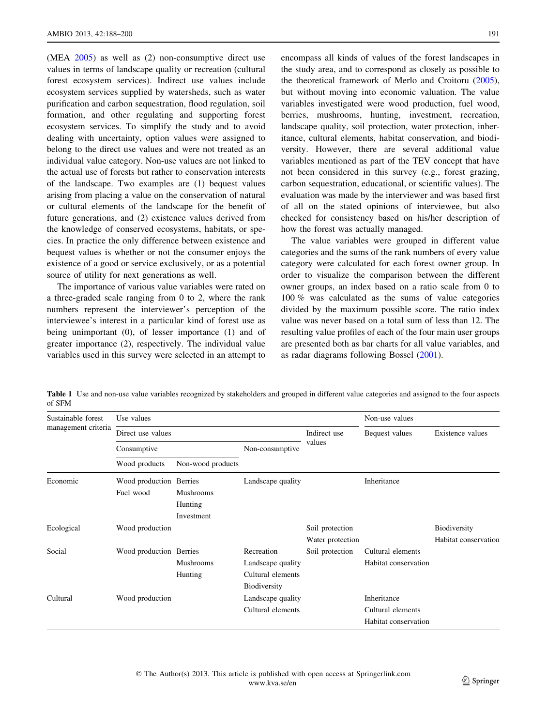<span id="page-5-0"></span>(MEA [2005](#page-13-0)) as well as (2) non-consumptive direct use values in terms of landscape quality or recreation (cultural forest ecosystem services). Indirect use values include ecosystem services supplied by watersheds, such as water purification and carbon sequestration, flood regulation, soil formation, and other regulating and supporting forest ecosystem services. To simplify the study and to avoid dealing with uncertainty, option values were assigned to belong to the direct use values and were not treated as an individual value category. Non-use values are not linked to the actual use of forests but rather to conservation interests of the landscape. Two examples are (1) bequest values arising from placing a value on the conservation of natural or cultural elements of the landscape for the benefit of future generations, and (2) existence values derived from the knowledge of conserved ecosystems, habitats, or species. In practice the only difference between existence and bequest values is whether or not the consumer enjoys the existence of a good or service exclusively, or as a potential source of utility for next generations as well.

The importance of various value variables were rated on a three-graded scale ranging from 0 to 2, where the rank numbers represent the interviewer's perception of the interviewee's interest in a particular kind of forest use as being unimportant (0), of lesser importance (1) and of greater importance (2), respectively. The individual value variables used in this survey were selected in an attempt to encompass all kinds of values of the forest landscapes in the study area, and to correspond as closely as possible to the theoretical framework of Merlo and Croitoru [\(2005](#page-13-0)), but without moving into economic valuation. The value variables investigated were wood production, fuel wood, berries, mushrooms, hunting, investment, recreation, landscape quality, soil protection, water protection, inheritance, cultural elements, habitat conservation, and biodiversity. However, there are several additional value variables mentioned as part of the TEV concept that have not been considered in this survey (e.g., forest grazing, carbon sequestration, educational, or scientific values). The evaluation was made by the interviewer and was based first of all on the stated opinions of interviewee, but also checked for consistency based on his/her description of how the forest was actually managed.

The value variables were grouped in different value categories and the sums of the rank numbers of every value category were calculated for each forest owner group. In order to visualize the comparison between the different owner groups, an index based on a ratio scale from 0 to 100 % was calculated as the sums of value categories divided by the maximum possible score. The ratio index value was never based on a total sum of less than 12. The resulting value profiles of each of the four main user groups are presented both as bar charts for all value variables, and as radar diagrams following Bossel [\(2001](#page-12-0)).

|        | Table 1 Use and non-use value variables recognized by stakeholders and grouped in different value categories and assigned to the four aspects |  |  |  |
|--------|-----------------------------------------------------------------------------------------------------------------------------------------------|--|--|--|
| of SFM |                                                                                                                                               |  |  |  |

| Sustainable forest  | Use values                         |                  | Non-use values      |                  |                      |                      |  |
|---------------------|------------------------------------|------------------|---------------------|------------------|----------------------|----------------------|--|
| management criteria | Direct use values                  |                  |                     | Indirect use     | Bequest values       | Existence values     |  |
|                     | Consumptive                        |                  | Non-consumptive     | values           |                      |                      |  |
|                     | Non-wood products<br>Wood products |                  |                     |                  |                      |                      |  |
| Economic            | Wood production Berries            |                  | Landscape quality   |                  | Inheritance          |                      |  |
|                     | Fuel wood                          | <b>Mushrooms</b> |                     |                  |                      |                      |  |
|                     |                                    | Hunting          |                     |                  |                      |                      |  |
|                     |                                    | Investment       |                     |                  |                      |                      |  |
| Ecological          | Wood production                    |                  |                     | Soil protection  |                      | Biodiversity         |  |
|                     |                                    |                  |                     | Water protection |                      | Habitat conservation |  |
| Social              | Wood production Berries            |                  | Recreation          | Soil protection  | Cultural elements    |                      |  |
|                     |                                    | <b>Mushrooms</b> | Landscape quality   |                  | Habitat conservation |                      |  |
|                     |                                    | Hunting          | Cultural elements   |                  |                      |                      |  |
|                     |                                    |                  | <b>Biodiversity</b> |                  |                      |                      |  |
| Cultural            | Wood production                    |                  | Landscape quality   |                  | Inheritance          |                      |  |
|                     |                                    |                  | Cultural elements   |                  | Cultural elements    |                      |  |
|                     |                                    |                  |                     |                  | Habitat conservation |                      |  |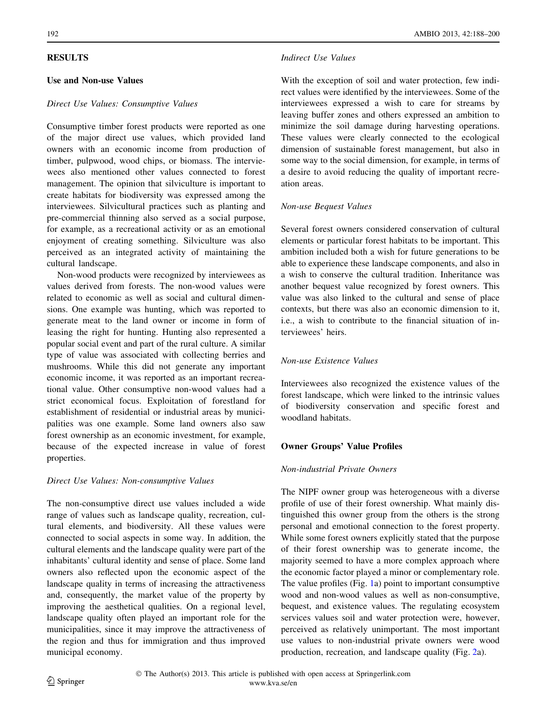#### RESULTS

## Use and Non-use Values

#### Direct Use Values: Consumptive Values

Consumptive timber forest products were reported as one of the major direct use values, which provided land owners with an economic income from production of timber, pulpwood, wood chips, or biomass. The interviewees also mentioned other values connected to forest management. The opinion that silviculture is important to create habitats for biodiversity was expressed among the interviewees. Silvicultural practices such as planting and pre-commercial thinning also served as a social purpose, for example, as a recreational activity or as an emotional enjoyment of creating something. Silviculture was also perceived as an integrated activity of maintaining the cultural landscape.

Non-wood products were recognized by interviewees as values derived from forests. The non-wood values were related to economic as well as social and cultural dimensions. One example was hunting, which was reported to generate meat to the land owner or income in form of leasing the right for hunting. Hunting also represented a popular social event and part of the rural culture. A similar type of value was associated with collecting berries and mushrooms. While this did not generate any important economic income, it was reported as an important recreational value. Other consumptive non-wood values had a strict economical focus. Exploitation of forestland for establishment of residential or industrial areas by municipalities was one example. Some land owners also saw forest ownership as an economic investment, for example, because of the expected increase in value of forest properties.

#### Direct Use Values: Non-consumptive Values

The non-consumptive direct use values included a wide range of values such as landscape quality, recreation, cultural elements, and biodiversity. All these values were connected to social aspects in some way. In addition, the cultural elements and the landscape quality were part of the inhabitants' cultural identity and sense of place. Some land owners also reflected upon the economic aspect of the landscape quality in terms of increasing the attractiveness and, consequently, the market value of the property by improving the aesthetical qualities. On a regional level, landscape quality often played an important role for the municipalities, since it may improve the attractiveness of the region and thus for immigration and thus improved municipal economy.

#### Indirect Use Values

With the exception of soil and water protection, few indirect values were identified by the interviewees. Some of the interviewees expressed a wish to care for streams by leaving buffer zones and others expressed an ambition to minimize the soil damage during harvesting operations. These values were clearly connected to the ecological dimension of sustainable forest management, but also in some way to the social dimension, for example, in terms of a desire to avoid reducing the quality of important recreation areas.

#### Non-use Bequest Values

Several forest owners considered conservation of cultural elements or particular forest habitats to be important. This ambition included both a wish for future generations to be able to experience these landscape components, and also in a wish to conserve the cultural tradition. Inheritance was another bequest value recognized by forest owners. This value was also linked to the cultural and sense of place contexts, but there was also an economic dimension to it, i.e., a wish to contribute to the financial situation of interviewees' heirs.

#### Non-use Existence Values

Interviewees also recognized the existence values of the forest landscape, which were linked to the intrinsic values of biodiversity conservation and specific forest and woodland habitats.

#### Owner Groups' Value Profiles

#### Non-industrial Private Owners

The NIPF owner group was heterogeneous with a diverse profile of use of their forest ownership. What mainly distinguished this owner group from the others is the strong personal and emotional connection to the forest property. While some forest owners explicitly stated that the purpose of their forest ownership was to generate income, the majority seemed to have a more complex approach where the economic factor played a minor or complementary role. The value profiles (Fig. [1a](#page-7-0)) point to important consumptive wood and non-wood values as well as non-consumptive, bequest, and existence values. The regulating ecosystem services values soil and water protection were, however, perceived as relatively unimportant. The most important use values to non-industrial private owners were wood production, recreation, and landscape quality (Fig. [2a](#page-8-0)).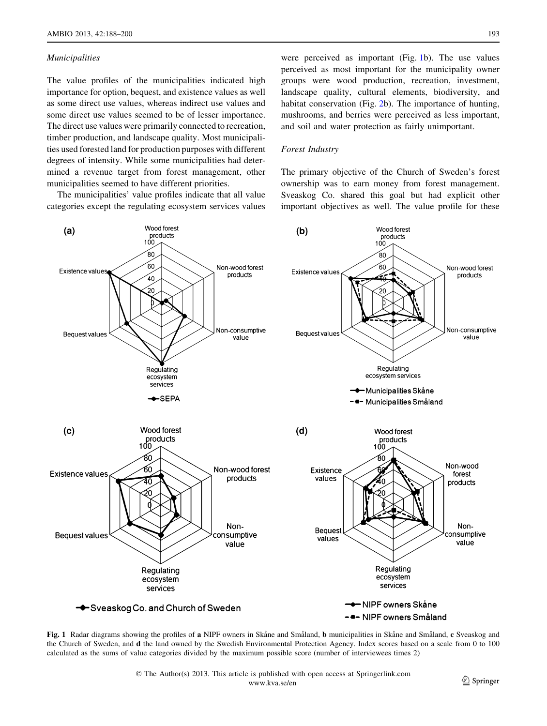#### <span id="page-7-0"></span>Municipalities

The value profiles of the municipalities indicated high importance for option, bequest, and existence values as well as some direct use values, whereas indirect use values and some direct use values seemed to be of lesser importance. The direct use values were primarily connected to recreation, timber production, and landscape quality. Most municipalities used forested land for production purposes with different degrees of intensity. While some municipalities had determined a revenue target from forest management, other municipalities seemed to have different priorities.

The municipalities' value profiles indicate that all value categories except the regulating ecosystem services values

were perceived as important (Fig. 1b). The use values perceived as most important for the municipality owner groups were wood production, recreation, investment, landscape quality, cultural elements, biodiversity, and habitat conservation (Fig. [2b](#page-8-0)). The importance of hunting, mushrooms, and berries were perceived as less important, and soil and water protection as fairly unimportant.

#### Forest Industry

The primary objective of the Church of Sweden's forest ownership was to earn money from forest management. Sveaskog Co. shared this goal but had explicit other important objectives as well. The value profile for these



Fig. 1 Radar diagrams showing the profiles of a NIPF owners in Skåne and Småland, b municipalities in Skåne and Småland, c Sveaskog and the Church of Sweden, and d the land owned by the Swedish Environmental Protection Agency. Index scores based on a scale from 0 to 100 calculated as the sums of value categories divided by the maximum possible score (number of interviewees times 2)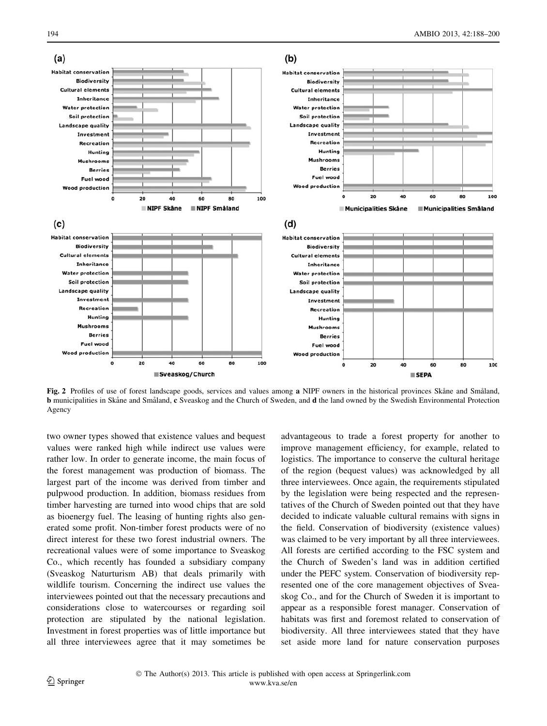<span id="page-8-0"></span>

Fig. 2 Profiles of use of forest landscape goods, services and values among a NIPF owners in the historical provinces Skåne and Småland, **b** municipalities in Skåne and Småland, c Sveaskog and the Church of Sweden, and d the land owned by the Swedish Environmental Protection Agency

two owner types showed that existence values and bequest values were ranked high while indirect use values were rather low. In order to generate income, the main focus of the forest management was production of biomass. The largest part of the income was derived from timber and pulpwood production. In addition, biomass residues from timber harvesting are turned into wood chips that are sold as bioenergy fuel. The leasing of hunting rights also generated some profit. Non-timber forest products were of no direct interest for these two forest industrial owners. The recreational values were of some importance to Sveaskog Co., which recently has founded a subsidiary company (Sveaskog Naturturism AB) that deals primarily with wildlife tourism. Concerning the indirect use values the interviewees pointed out that the necessary precautions and considerations close to watercourses or regarding soil protection are stipulated by the national legislation. Investment in forest properties was of little importance but all three interviewees agree that it may sometimes be advantageous to trade a forest property for another to improve management efficiency, for example, related to logistics. The importance to conserve the cultural heritage of the region (bequest values) was acknowledged by all three interviewees. Once again, the requirements stipulated by the legislation were being respected and the representatives of the Church of Sweden pointed out that they have decided to indicate valuable cultural remains with signs in the field. Conservation of biodiversity (existence values) was claimed to be very important by all three interviewees. All forests are certified according to the FSC system and the Church of Sweden's land was in addition certified under the PEFC system. Conservation of biodiversity represented one of the core management objectives of Sveaskog Co., and for the Church of Sweden it is important to appear as a responsible forest manager. Conservation of habitats was first and foremost related to conservation of biodiversity. All three interviewees stated that they have set aside more land for nature conservation purposes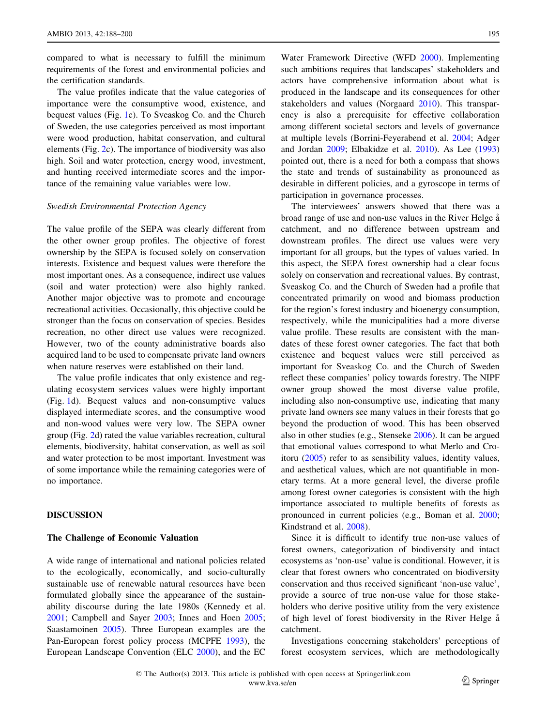compared to what is necessary to fulfill the minimum requirements of the forest and environmental policies and the certification standards.

The value profiles indicate that the value categories of importance were the consumptive wood, existence, and bequest values (Fig. [1](#page-7-0)c). To Sveaskog Co. and the Church of Sweden, the use categories perceived as most important were wood production, habitat conservation, and cultural elements (Fig. [2c](#page-8-0)). The importance of biodiversity was also high. Soil and water protection, energy wood, investment, and hunting received intermediate scores and the importance of the remaining value variables were low.

#### Swedish Environmental Protection Agency

The value profile of the SEPA was clearly different from the other owner group profiles. The objective of forest ownership by the SEPA is focused solely on conservation interests. Existence and bequest values were therefore the most important ones. As a consequence, indirect use values (soil and water protection) were also highly ranked. Another major objective was to promote and encourage recreational activities. Occasionally, this objective could be stronger than the focus on conservation of species. Besides recreation, no other direct use values were recognized. However, two of the county administrative boards also acquired land to be used to compensate private land owners when nature reserves were established on their land.

The value profile indicates that only existence and regulating ecosystem services values were highly important (Fig. [1d](#page-7-0)). Bequest values and non-consumptive values displayed intermediate scores, and the consumptive wood and non-wood values were very low. The SEPA owner group (Fig. [2](#page-8-0)d) rated the value variables recreation, cultural elements, biodiversity, habitat conservation, as well as soil and water protection to be most important. Investment was of some importance while the remaining categories were of no importance.

#### DISCUSSION

#### The Challenge of Economic Valuation

A wide range of international and national policies related to the ecologically, economically, and socio-culturally sustainable use of renewable natural resources have been formulated globally since the appearance of the sustainability discourse during the late 1980s (Kennedy et al. [2001;](#page-12-0) Campbell and Sayer [2003;](#page-12-0) Innes and Hoen [2005](#page-12-0); Saastamoinen [2005](#page-13-0)). Three European examples are the Pan-European forest policy process (MCPFE [1993](#page-13-0)), the European Landscape Convention (ELC [2000](#page-12-0)), and the EC

Water Framework Directive (WFD [2000\)](#page-13-0). Implementing such ambitions requires that landscapes' stakeholders and actors have comprehensive information about what is produced in the landscape and its consequences for other stakeholders and values (Norgaard [2010\)](#page-13-0). This transparency is also a prerequisite for effective collaboration among different societal sectors and levels of governance at multiple levels (Borrini-Feyerabend et al. [2004;](#page-12-0) Adger and Jordan [2009;](#page-11-0) Elbakidze et al. [2010\)](#page-12-0). As Lee ([1993\)](#page-12-0) pointed out, there is a need for both a compass that shows the state and trends of sustainability as pronounced as desirable in different policies, and a gyroscope in terms of participation in governance processes.

The interviewees' answers showed that there was a broad range of use and non-use values in the River Helge  $\aa$ catchment, and no difference between upstream and downstream profiles. The direct use values were very important for all groups, but the types of values varied. In this aspect, the SEPA forest ownership had a clear focus solely on conservation and recreational values. By contrast, Sveaskog Co. and the Church of Sweden had a profile that concentrated primarily on wood and biomass production for the region's forest industry and bioenergy consumption, respectively, while the municipalities had a more diverse value profile. These results are consistent with the mandates of these forest owner categories. The fact that both existence and bequest values were still perceived as important for Sveaskog Co. and the Church of Sweden reflect these companies' policy towards forestry. The NIPF owner group showed the most diverse value profile, including also non-consumptive use, indicating that many private land owners see many values in their forests that go beyond the production of wood. This has been observed also in other studies (e.g., Stenseke [2006\)](#page-13-0). It can be argued that emotional values correspond to what Merlo and Croitoru [\(2005](#page-13-0)) refer to as sensibility values, identity values, and aesthetical values, which are not quantifiable in monetary terms. At a more general level, the diverse profile among forest owner categories is consistent with the high importance associated to multiple benefits of forests as pronounced in current policies (e.g., Boman et al. [2000](#page-12-0); Kindstrand et al. [2008\)](#page-12-0).

Since it is difficult to identify true non-use values of forest owners, categorization of biodiversity and intact ecosystems as 'non-use' value is conditional. However, it is clear that forest owners who concentrated on biodiversity conservation and thus received significant 'non-use value', provide a source of true non-use value for those stakeholders who derive positive utility from the very existence of high level of forest biodiversity in the River Helge  $\aa$ catchment.

Investigations concerning stakeholders' perceptions of forest ecosystem services, which are methodologically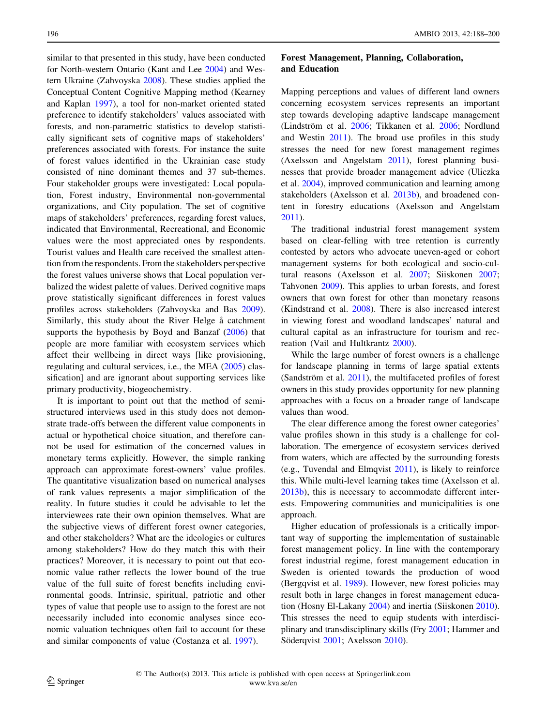similar to that presented in this study, have been conducted for North-western Ontario (Kant and Lee [2004](#page-12-0)) and Western Ukraine (Zahvoyska [2008](#page-13-0)). These studies applied the Conceptual Content Cognitive Mapping method (Kearney and Kaplan [1997](#page-12-0)), a tool for non-market oriented stated preference to identify stakeholders' values associated with forests, and non-parametric statistics to develop statistically significant sets of cognitive maps of stakeholders' preferences associated with forests. For instance the suite of forest values identified in the Ukrainian case study consisted of nine dominant themes and 37 sub-themes. Four stakeholder groups were investigated: Local population, Forest industry, Environmental non-governmental organizations, and City population. The set of cognitive maps of stakeholders' preferences, regarding forest values, indicated that Environmental, Recreational, and Economic values were the most appreciated ones by respondents. Tourist values and Health care received the smallest attention from the respondents. From the stakeholders perspective the forest values universe shows that Local population verbalized the widest palette of values. Derived cognitive maps prove statistically significant differences in forest values profiles across stakeholders (Zahvoyska and Bas [2009](#page-13-0)). Similarly, this study about the River Helge å catchment supports the hypothesis by Boyd and Banzaf ([2006\)](#page-12-0) that people are more familiar with ecosystem services which affect their wellbeing in direct ways [like provisioning, regulating and cultural services, i.e., the MEA [\(2005](#page-13-0)) classification] and are ignorant about supporting services like primary productivity, biogeochemistry.

It is important to point out that the method of semistructured interviews used in this study does not demonstrate trade-offs between the different value components in actual or hypothetical choice situation, and therefore cannot be used for estimation of the concerned values in monetary terms explicitly. However, the simple ranking approach can approximate forest-owners' value profiles. The quantitative visualization based on numerical analyses of rank values represents a major simplification of the reality. In future studies it could be advisable to let the interviewees rate their own opinion themselves. What are the subjective views of different forest owner categories, and other stakeholders? What are the ideologies or cultures among stakeholders? How do they match this with their practices? Moreover, it is necessary to point out that economic value rather reflects the lower bound of the true value of the full suite of forest benefits including environmental goods. Intrinsic, spiritual, patriotic and other types of value that people use to assign to the forest are not necessarily included into economic analyses since economic valuation techniques often fail to account for these and similar components of value (Costanza et al. [1997](#page-12-0)).

## Forest Management, Planning, Collaboration, and Education

Mapping perceptions and values of different land owners concerning ecosystem services represents an important step towards developing adaptive landscape management (Lindström et al. [2006](#page-13-0); Tikkanen et al. [2006;](#page-13-0) Nordlund and Westin [2011\)](#page-13-0). The broad use profiles in this study stresses the need for new forest management regimes (Axelsson and Angelstam [2011](#page-12-0)), forest planning businesses that provide broader management advice (Uliczka et al. [2004\)](#page-13-0), improved communication and learning among stakeholders (Axelsson et al. [2013b](#page-12-0)), and broadened content in forestry educations (Axelsson and Angelstam [2011](#page-12-0)).

The traditional industrial forest management system based on clear-felling with tree retention is currently contested by actors who advocate uneven-aged or cohort management systems for both ecological and socio-cultural reasons (Axelsson et al. [2007;](#page-12-0) Siiskonen [2007](#page-13-0); Tahvonen [2009\)](#page-13-0). This applies to urban forests, and forest owners that own forest for other than monetary reasons (Kindstrand et al. [2008\)](#page-12-0). There is also increased interest in viewing forest and woodland landscapes' natural and cultural capital as an infrastructure for tourism and recreation (Vail and Hultkrantz [2000\)](#page-13-0).

While the large number of forest owners is a challenge for landscape planning in terms of large spatial extents (Sandström et al.  $2011$ ), the multifaceted profiles of forest owners in this study provides opportunity for new planning approaches with a focus on a broader range of landscape values than wood.

The clear difference among the forest owner categories' value profiles shown in this study is a challenge for collaboration. The emergence of ecosystem services derived from waters, which are affected by the surrounding forests (e.g., Tuvendal and Elmqvist [2011\)](#page-13-0), is likely to reinforce this. While multi-level learning takes time (Axelsson et al. [2013b](#page-12-0)), this is necessary to accommodate different interests. Empowering communities and municipalities is one approach.

Higher education of professionals is a critically important way of supporting the implementation of sustainable forest management policy. In line with the contemporary forest industrial regime, forest management education in Sweden is oriented towards the production of wood (Bergqvist et al. [1989](#page-12-0)). However, new forest policies may result both in large changes in forest management education (Hosny El-Lakany [2004](#page-12-0)) and inertia (Siiskonen [2010](#page-13-0)). This stresses the need to equip students with interdisciplinary and transdisciplinary skills (Fry [2001;](#page-12-0) Hammer and Söderqvist [2001](#page-12-0); Axelsson [2010\)](#page-12-0).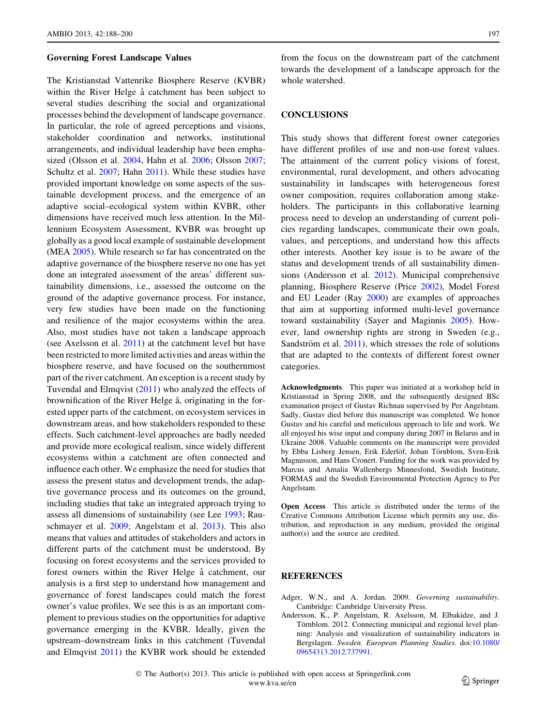#### <span id="page-11-0"></span>Governing Forest Landscape Values

The Kristianstad Vattenrike Biosphere Reserve (KVBR) within the River Helge  $\aa$  catchment has been subject to several studies describing the social and organizational processes behind the development of landscape governance. In particular, the role of agreed perceptions and visions, stakeholder coordination and networks, institutional arrangements, and individual leadership have been emphasized (Olsson et al. [2004,](#page-13-0) Hahn et al. [2006;](#page-12-0) Olsson [2007](#page-13-0); Schultz et al. [2007;](#page-13-0) Hahn [2011\)](#page-12-0). While these studies have provided important knowledge on some aspects of the sustainable development process, and the emergence of an adaptive social–ecological system within KVBR, other dimensions have received much less attention. In the Millennium Ecosystem Assessment, KVBR was brought up globally as a good local example of sustainable development (MEA [2005\)](#page-13-0). While research so far has concentrated on the adaptive governance of the biosphere reserve no one has yet done an integrated assessment of the areas' different sustainability dimensions, i.e., assessed the outcome on the ground of the adaptive governance process. For instance, very few studies have been made on the functioning and resilience of the major ecosystems within the area. Also, most studies have not taken a landscape approach (see Axelsson et al. [2011](#page-12-0)) at the catchment level but have been restricted to more limited activities and areas within the biosphere reserve, and have focused on the southernmost part of the river catchment. An exception is a recent study by Tuvendal and Elmqvist [\(2011](#page-13-0)) who analyzed the effects of brownification of the River Helge å, originating in the forested upper parts of the catchment, on ecosystem services in downstream areas, and how stakeholders responded to these effects. Such catchment-level approaches are badly needed and provide more ecological realism, since widely different ecosystems within a catchment are often connected and influence each other. We emphasize the need for studies that assess the present status and development trends, the adaptive governance process and its outcomes on the ground, including studies that take an integrated approach trying to assess all dimensions of sustainability (see Lee [1993](#page-12-0); Rauschmayer et al. [2009;](#page-13-0) Angelstam et al. [2013\)](#page-12-0). This also means that values and attitudes of stakeholders and actors in different parts of the catchment must be understood. By focusing on forest ecosystems and the services provided to forest owners within the River Helge å catchment, our analysis is a first step to understand how management and governance of forest landscapes could match the forest owner's value profiles. We see this is as an important complement to previous studies on the opportunities for adaptive governance emerging in the KVBR. Ideally, given the upstream–downstream links in this catchment (Tuvendal and Elmqvist [2011](#page-13-0)) the KVBR work should be extended

from the focus on the downstream part of the catchment towards the development of a landscape approach for the whole watershed.

#### **CONCLUSIONS**

This study shows that different forest owner categories have different profiles of use and non-use forest values. The attainment of the current policy visions of forest, environmental, rural development, and others advocating sustainability in landscapes with heterogeneous forest owner composition, requires collaboration among stakeholders. The participants in this collaborative learning process need to develop an understanding of current policies regarding landscapes, communicate their own goals, values, and perceptions, and understand how this affects other interests. Another key issue is to be aware of the status and development trends of all sustainability dimensions (Andersson et al. 2012). Municipal comprehensive planning, Biosphere Reserve (Price [2002](#page-13-0)), Model Forest and EU Leader (Ray [2000](#page-13-0)) are examples of approaches that aim at supporting informed multi-level governance toward sustainability (Sayer and Maginnis [2005\)](#page-13-0). However, land ownership rights are strong in Sweden (e.g., Sandström et al.  $2011$ ), which stresses the role of solutions that are adapted to the contexts of different forest owner categories.

Acknowledgments This paper was initiated at a workshop held in Kristianstad in Spring 2008, and the subsequently designed BSc examination project of Gustav Richnau supervised by Per Angelstam. Sadly, Gustav died before this manuscript was completed. We honor Gustav and his careful and meticulous approach to life and work. We all enjoyed his wise input and company during 2007 in Belarus and in Ukraine 2008. Valuable comments on the manuscript were provided by Ebba Lisberg Jensen, Erik Ederlöf, Johan Törnblom, Sven-Erik Magnusson, and Hans Cronert. Funding for the work was provided by Marcus and Amalia Wallenbergs Minnesfond, Swedish Institute, FORMAS and the Swedish Environmental Protection Agency to Per Angelstam.

Open Access This article is distributed under the terms of the Creative Commons Attribution License which permits any use, distribution, and reproduction in any medium, provided the original author(s) and the source are credited.

#### REFERENCES

- Adger, W.N., and A. Jordan. 2009. Governing sustainability. Cambridge: Cambridge University Press.
- Andersson, K., P. Angelstam, R. Axelsson, M. Elbakidze, and J. Törnblom. 2012. Connecting municipal and regional level planning: Analysis and visualization of sustainability indicators in Bergslagen. Sweden. European Planning Studies. doi[:10.1080/](http://dx.doi.org/10.1080/09654313.2012.737991) [09654313.2012.737991.](http://dx.doi.org/10.1080/09654313.2012.737991)

<sup>©</sup> The Author(s) 2013. This article is published with open access at Springerlink.com www.kva.se/en  $\circled{2}$  Springer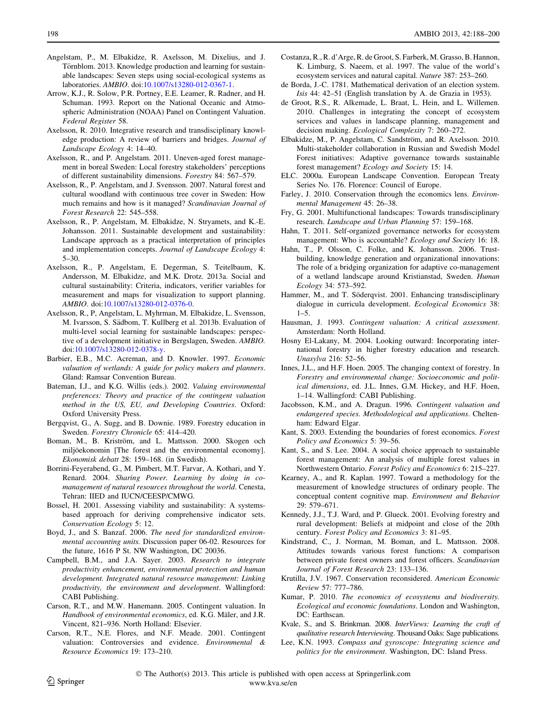- <span id="page-12-0"></span>Angelstam, P., M. Elbakidze, R. Axelsson, M. Dixelius, and J. Törnblom. 2013. Knowledge production and learning for sustainable landscapes: Seven steps using social-ecological systems as laboratories. AMBIO. doi[:10.1007/s13280-012-0367-1.](http://dx.doi.org/10.1007/s13280-012-0367-1)
- Arrow, K.J., R. Solow, P.R. Portney, E.E. Leamer, R. Radner, and H. Schuman. 1993. Report on the National Oceanic and Atmospheric Administration (NOAA) Panel on Contingent Valuation. Federal Register 58.
- Axelsson, R. 2010. Integrative research and transdisciplinary knowledge production: A review of barriers and bridges. Journal of Landscape Ecology 4: 14–40.
- Axelsson, R., and P. Angelstam. 2011. Uneven-aged forest management in boreal Sweden: Local forestry stakeholders' perceptions of different sustainability dimensions. Forestry 84: 567–579.
- Axelsson, R., P. Angelstam, and J. Svensson. 2007. Natural forest and cultural woodland with continuous tree cover in Sweden: How much remains and how is it managed? Scandinavian Journal of Forest Research 22: 545–558.
- Axelsson, R., P. Angelstam, M. Elbakidze, N. Stryamets, and K.-E. Johansson. 2011. Sustainable development and sustainability: Landscape approach as a practical interpretation of principles and implementation concepts. Journal of Landscape Ecology 4: 5–30.
- Axelsson, R., P. Angelstam, E. Degerman, S. Teitelbaum, K. Andersson, M. Elbakidze, and M.K. Drotz. 2013a. Social and cultural sustainability: Criteria, indicators, verifier variables for measurement and maps for visualization to support planning. AMBIO. doi:[10.1007/s13280-012-0376-0](http://dx.doi.org/10.1007/s13280-012-0376-0).
- Axelsson, R., P, Angelstam, L. Myhrman, M. Elbakidze, L. Svensson, M. Ivarsson, S. Sädbom, T. Kullberg et al. 2013b. Evaluation of multi-level social learning for sustainable landscapes: perspective of a development initiative in Bergslagen, Sweden. AMBIO. doi[:10.1007/s13280-012-0378-y.](http://dx.doi.org/10.1007/s13280-012-0378-y)
- Barbier, E.B., M.C. Acreman, and D. Knowler. 1997. Economic valuation of wetlands: A guide for policy makers and planners. Gland: Ramsar Convention Bureau.
- Bateman, I.J., and K.G. Willis (eds.). 2002. Valuing environmental preferences: Theory and practice of the contingent valuation method in the US, EU, and Developing Countries. Oxford: Oxford University Press.
- Bergqvist, G., A. Sugg, and B. Downie. 1989. Forestry education in Sweden. Forestry Chronicle 65: 414–420.
- Boman, M., B. Kriström, and L. Mattsson. 2000. Skogen och miljöekonomin [The forest and the environmental economy]. Ekonomisk debatt 28: 159–168. (in Swedish).
- Borrini-Feyerabend, G., M. Pimbert, M.T. Farvar, A. Kothari, and Y. Renard. 2004. Sharing Power. Learning by doing in comanagement of natural resources throughout the world. Cenesta, Tehran: IIED and IUCN/CEESP/CMWG.
- Bossel, H. 2001. Assessing viability and sustainability: A systemsbased approach for deriving comprehensive indicator sets. Conservation Ecology 5: 12.
- Boyd, J., and S. Banzaf. 2006. The need for standardized environmental accounting units. Discussion paper 06-02. Resources for the future, 1616 P St. NW Washington, DC 20036.
- Campbell, B.M., and J.A. Sayer. 2003. Research to integrate productivity enhancement, environmental protection and human development. Integrated natural resource management: Linking productivity, the environment and development. Wallingford: CABI Publishing.
- Carson, R.T., and M.W. Hanemann. 2005. Contingent valuation. In Handbook of environmental economics, ed. K.G. Mäler, and J.R. Vincent, 821–936. North Holland: Elsevier.
- Carson, R.T., N.E. Flores, and N.F. Meade. 2001. Contingent valuation: Controversies and evidence. Environmental & Resource Economics 19: 173–210.
- Costanza, R., R. d'Arge, R. de Groot, S. Farberk, M. Grasso, B. Hannon, K. Limburg, S. Naeem, et al. 1997. The value of the world's ecosystem services and natural capital. Nature 387: 253–260.
- de Borda, J.-C. 1781. Mathematical derivation of an election system. Isis 44: 42–51 (English translation by A. de Grazia in 1953).
- de Groot, R.S., R. Alkemade, L. Braat, L. Hein, and L. Willemen. 2010. Challenges in integrating the concept of ecosystem services and values in landscape planning, management and decision making. Ecological Complexity 7: 260–272.
- Elbakidze, M., P. Angelstam, C. Sandström, and R. Axelsson. 2010. Multi-stakeholder collaboration in Russian and Swedish Model Forest initiatives: Adaptive governance towards sustainable forest management? Ecology and Society 15: 14.
- ELC. 2000a. European Landscape Convention. European Treaty Series No. 176. Florence: Council of Europe.
- Farley, J. 2010. Conservation through the economics lens. Environmental Management 45: 26–38.
- Fry, G. 2001. Multifunctional landscapes: Towards transdisciplinary research. Landscape and Urban Planning 57: 159–168.
- Hahn, T. 2011. Self-organized governance networks for ecosystem management: Who is accountable? Ecology and Society 16: 18.
- Hahn, T., P. Olsson, C. Folke, and K. Johansson. 2006. Trustbuilding, knowledge generation and organizational innovations: The role of a bridging organization for adaptive co-management of a wetland landscape around Kristianstad, Sweden. Human Ecology 34: 573–592.
- Hammer, M., and T. Söderqvist. 2001. Enhancing transdisciplinary dialogue in curricula development. Ecological Economics 38:  $1 - 5$ .
- Hausman, J. 1993. Contingent valuation: A critical assessment. Amsterdam: North Holland.
- Hosny El-Lakany, M. 2004. Looking outward: Incorporating international forestry in higher forestry education and research. Unasylva 216: 52–56.
- Innes, J.L., and H.F. Hoen. 2005. The changing context of forestry. In Forestry and environmental change: Socioeconomic and political dimensions, ed. J.L. Innes, G.M. Hickey, and H.F. Hoen, 1–14. Wallingford: CABI Publishing.
- Jacobsson, K.M., and A. Dragun. 1996. Contingent valuation and endangered species. Methodological and applications. Cheltenham: Edward Elgar.
- Kant, S. 2003. Extending the boundaries of forest economics. Forest Policy and Economics 5: 39–56.
- Kant, S., and S. Lee. 2004. A social choice approach to sustainable forest management: An analysis of multiple forest values in Northwestern Ontario. Forest Policy and Economics 6: 215–227.
- Kearney, A., and R. Kaplan. 1997. Toward a methodology for the measurement of knowledge structures of ordinary people. The conceptual content cognitive map. Environment and Behavior 29: 579–671.
- Kennedy, J.J., T.J. Ward, and P. Glueck. 2001. Evolving forestry and rural development: Beliefs at midpoint and close of the 20th century. Forest Policy and Economics 3: 81–95.
- Kindstrand, C., J. Norman, M. Boman, and L. Mattsson. 2008. Attitudes towards various forest functions: A comparison between private forest owners and forest officers. Scandinavian Journal of Forest Research 23: 133–136.
- Krutilla, J.V. 1967. Conservation reconsidered. American Economic Review 57: 777–786.
- Kumar, P. 2010. The economics of ecosystems and biodiversity. Ecological and economic foundations. London and Washington, DC: Earthscan.
- Kvale, S., and S. Brinkman. 2008. InterViews: Learning the craft of qualitative research Interviewing. Thousand Oaks: Sage publications.
- Lee, K.N. 1993. Compass and gyroscope: Integrating science and politics for the environment. Washington, DC: Island Press.

 The Author(s) 2013. This article is published with open access at Springerlink.com www.kva.se/en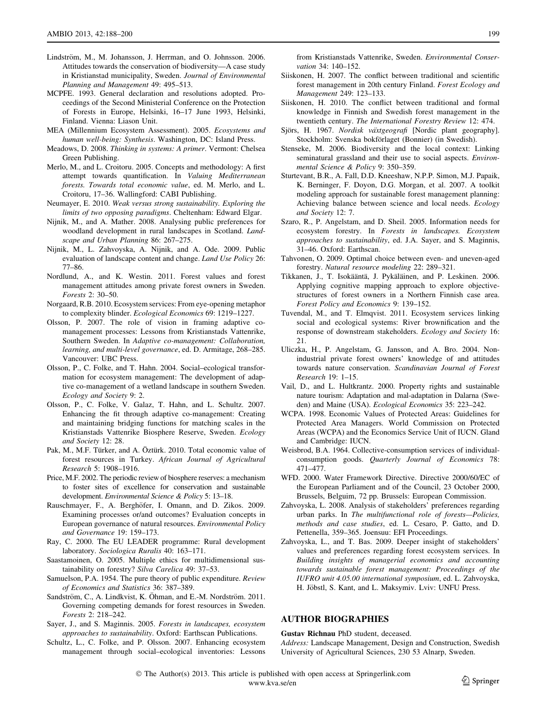- <span id="page-13-0"></span>Lindström, M., M. Johansson, J. Herrman, and O. Johnsson. 2006. Attitudes towards the conservation of biodiversity—A case study in Kristianstad municipality, Sweden. Journal of Environmental Planning and Management 49: 495–513.
- MCPFE. 1993. General declaration and resolutions adopted. Proceedings of the Second Ministerial Conference on the Protection of Forests in Europe, Helsinki, 16–17 June 1993, Helsinki, Finland. Vienna: Liason Unit.
- MEA (Millennium Ecosystem Assessment). 2005. Ecosystems and human well-being: Synthesis. Washington, DC: Island Press.
- Meadows, D. 2008. Thinking in systems: A primer. Vermont: Chelsea Green Publishing.
- Merlo, M., and L. Croitoru. 2005. Concepts and methodology: A first attempt towards quantification. In Valuing Mediterranean forests. Towards total economic value, ed. M. Merlo, and L. Croitoru, 17–36. Wallingford: CABI Publishing.
- Neumayer, E. 2010. Weak versus strong sustainability. Exploring the limits of two opposing paradigms. Cheltenham: Edward Elgar.
- Nijnik, M., and A. Mather. 2008. Analysing public preferences for woodland development in rural landscapes in Scotland. Landscape and Urban Planning 86: 267–275.
- Nijnik, M., L. Zahvoyska, A. Nijnik, and A. Ode. 2009. Public evaluation of landscape content and change. Land Use Policy 26: 77–86.
- Nordlund, A., and K. Westin. 2011. Forest values and forest management attitudes among private forest owners in Sweden. Forests 2: 30–50.
- Norgaard, R.B. 2010. Ecosystem services: From eye-opening metaphor to complexity blinder. Ecological Economics 69: 1219–1227.
- Olsson, P. 2007. The role of vision in framing adaptive comanagement processes: Lessons from Kristianstads Vattenrike, Southern Sweden. In Adaptive co-management: Collaboration, learning, and multi-level governance, ed. D. Armitage, 268–285. Vancouver: UBC Press.
- Olsson, P., C. Folke, and T. Hahn. 2004. Social–ecological transformation for ecosystem management: The development of adaptive co-management of a wetland landscape in southern Sweden. Ecology and Society 9: 2.
- Olsson, P., C. Folke, V. Galaz, T. Hahn, and L. Schultz. 2007. Enhancing the fit through adaptive co-management: Creating and maintaining bridging functions for matching scales in the Kristianstads Vattenrike Biosphere Reserve, Sweden. Ecology and Society 12: 28.
- Pak, M., M.F. Türker, and A. Öztürk. 2010. Total economic value of forest resources in Turkey. African Journal of Agricultural Research 5: 1908–1916.
- Price, M.F. 2002. The periodic review of biosphere reserves: a mechanism to foster sites of excellence for conservation and sustainable development. Environmental Science & Policy 5: 13–18.
- Rauschmayer, F., A. Berghöfer, I. Omann, and D. Zikos. 2009. Examining processes or/and outcomes? Evaluation concepts in European governance of natural resources. Environmental Policy and Governance 19: 159–173.
- Ray, C. 2000. The EU LEADER programme: Rural development laboratory. Sociologica Ruralis 40: 163–171.
- Saastamoinen, O. 2005. Multiple ethics for multidimensional sustainability on forestry? Silva Carelica 49: 37–53.
- Samuelson, P.A. 1954. The pure theory of public expenditure. Review of Economics and Statistics 36: 387–389.
- Sandström, C., A. Lindkvist, K. Öhman, and E.-M. Nordström. 2011. Governing competing demands for forest resources in Sweden. Forests 2: 218–242.
- Sayer, J., and S. Maginnis. 2005. Forests in landscapes, ecosystem approaches to sustainability. Oxford: Earthscan Publications.
- Schultz, L., C. Folke, and P. Olsson. 2007. Enhancing ecosystem management through social–ecological inventories: Lessons

from Kristianstads Vattenrike, Sweden. Environmental Conservation 34: 140–152.

- Siiskonen, H. 2007. The conflict between traditional and scientific forest management in 20th century Finland. Forest Ecology and Management 249: 123–133.
- Siiskonen, H. 2010. The conflict between traditional and formal knowledge in Finnish and Swedish forest management in the twentieth century. The International Forestry Review 12: 474.
- Sjörs, H. 1967. Nordisk växtgeografi [Nordic plant geography]. Stockholm: Svenska bokförlaget (Bonnier) (in Swedish).
- Stenseke, M. 2006. Biodiversity and the local context: Linking seminatural grassland and their use to social aspects. *Environ*mental Science & Policy 9: 350–359.
- Sturtevant, B.R., A. Fall, D.D. Kneeshaw, N.P.P. Simon, M.J. Papaik, K. Berninger, F. Doyon, D.G. Morgan, et al. 2007. A toolkit modeling approach for sustainable forest management planning: Achieving balance between science and local needs. Ecology and Society 12: 7.
- Szaro, R., P. Angelstam, and D. Sheil. 2005. Information needs for ecosystem forestry. In Forests in landscapes. Ecosystem approaches to sustainability, ed. J.A. Sayer, and S. Maginnis, 31–46. Oxford: Earthscan.
- Tahvonen, O. 2009. Optimal choice between even- and uneven-aged forestry. Natural resource modeling 22: 289–321.
- Tikkanen, J., T. Isokääntä, J. Pykäläinen, and P. Leskinen. 2006. Applying cognitive mapping approach to explore objectivestructures of forest owners in a Northern Finnish case area. Forest Policy and Economics 9: 139–152.
- Tuvendal, M., and T. Elmqvist. 2011. Ecosystem services linking social and ecological systems: River brownification and the response of downstream stakeholders. Ecology and Society 16: 21.
- Uliczka, H., P. Angelstam, G. Jansson, and A. Bro. 2004. Nonindustrial private forest owners' knowledge of and attitudes towards nature conservation. Scandinavian Journal of Forest Research 19: 1–15.
- Vail, D., and L. Hultkrantz. 2000. Property rights and sustainable nature tourism: Adaptation and mal-adaptation in Dalarna (Sweden) and Maine (USA). Ecological Economics 35: 223–242.
- WCPA. 1998. Economic Values of Protected Areas: Guidelines for Protected Area Managers. World Commission on Protected Areas (WCPA) and the Economics Service Unit of IUCN. Gland and Cambridge: IUCN.
- Weisbrod, B.A. 1964. Collective-consumption services of individualconsumption goods. Quarterly Journal of Economics 78: 471–477.
- WFD. 2000. Water Framework Directive. Directive 2000/60/EC of the European Parliament and of the Council, 23 October 2000, Brussels, Belguim, 72 pp. Brussels: European Commission.
- Zahvoyska, L. 2008. Analysis of stakeholders' preferences regarding urban parks. In The multifunctional role of forests—Policies, methods and case studies, ed. L. Cesaro, P. Gatto, and D. Pettenella, 359–365. Joensuu: EFI Proceedings.
- Zahvoyska, L., and T. Bas. 2009. Deeper insight of stakeholders' values and preferences regarding forest ecosystem services. In Building insights of managerial economics and accounting towards sustainable forest management: Proceedings of the IUFRO unit 4.05.00 international symposium, ed. L. Zahvoyska, H. Jöbstl, S. Kant, and L. Maksymiv. Lviv: UNFU Press.

#### AUTHOR BIOGRAPHIES

#### Gustav Richnau PhD student, deceased.

Address: Landscape Management, Design and Construction, Swedish University of Agricultural Sciences, 230 53 Alnarp, Sweden.